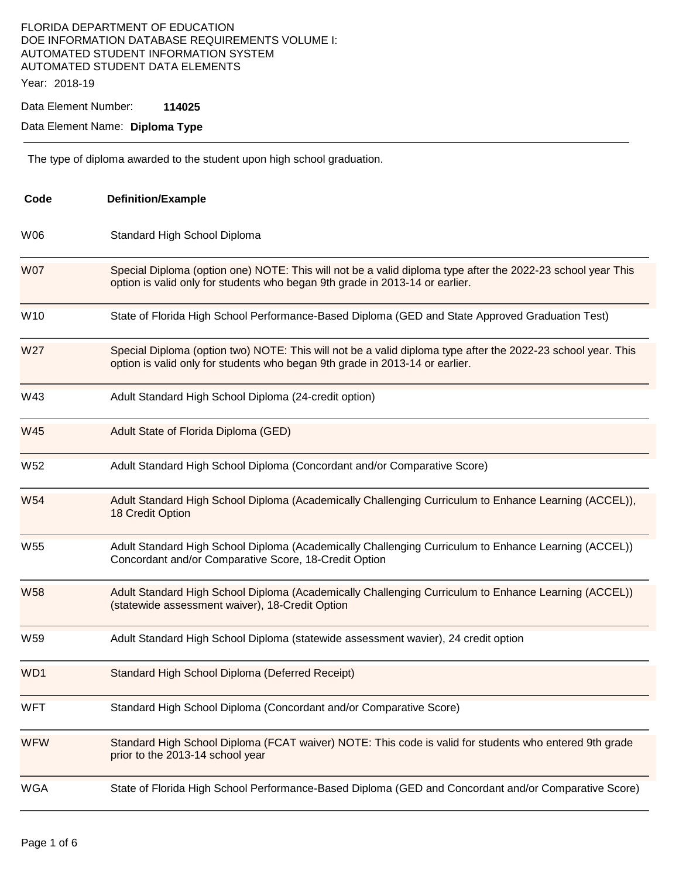## FLORIDA DEPARTMENT OF EDUCATION DOE INFORMATION DATABASE REQUIREMENTS VOLUME I: AUTOMATED STUDENT INFORMATION SYSTEM AUTOMATED STUDENT DATA ELEMENTS Year: 2018-19

Data Element Number: **114025** 

Data Element Name: **Diploma Type** 

The type of diploma awarded to the student upon high school graduation.

| Code            | <b>Definition/Example</b>                                                                                                                                                                    |  |  |
|-----------------|----------------------------------------------------------------------------------------------------------------------------------------------------------------------------------------------|--|--|
| W06             | Standard High School Diploma                                                                                                                                                                 |  |  |
| <b>W07</b>      | Special Diploma (option one) NOTE: This will not be a valid diploma type after the 2022-23 school year This<br>option is valid only for students who began 9th grade in 2013-14 or earlier.  |  |  |
| W10             | State of Florida High School Performance-Based Diploma (GED and State Approved Graduation Test)                                                                                              |  |  |
| W <sub>27</sub> | Special Diploma (option two) NOTE: This will not be a valid diploma type after the 2022-23 school year. This<br>option is valid only for students who began 9th grade in 2013-14 or earlier. |  |  |
| W43             | Adult Standard High School Diploma (24-credit option)                                                                                                                                        |  |  |
| W45             | Adult State of Florida Diploma (GED)                                                                                                                                                         |  |  |
| W <sub>52</sub> | Adult Standard High School Diploma (Concordant and/or Comparative Score)                                                                                                                     |  |  |
| <b>W54</b>      | Adult Standard High School Diploma (Academically Challenging Curriculum to Enhance Learning (ACCEL)),<br>18 Credit Option                                                                    |  |  |
| W <sub>55</sub> | Adult Standard High School Diploma (Academically Challenging Curriculum to Enhance Learning (ACCEL))<br>Concordant and/or Comparative Score, 18-Credit Option                                |  |  |
| <b>W58</b>      | Adult Standard High School Diploma (Academically Challenging Curriculum to Enhance Learning (ACCEL))<br>(statewide assessment waiver), 18-Credit Option                                      |  |  |
| W59             | Adult Standard High School Diploma (statewide assessment wavier), 24 credit option                                                                                                           |  |  |
| WD <sub>1</sub> | Standard High School Diploma (Deferred Receipt)                                                                                                                                              |  |  |
| WFT             | Standard High School Diploma (Concordant and/or Comparative Score)                                                                                                                           |  |  |
| <b>WFW</b>      | Standard High School Diploma (FCAT waiver) NOTE: This code is valid for students who entered 9th grade<br>prior to the 2013-14 school year                                                   |  |  |
| <b>WGA</b>      | State of Florida High School Performance-Based Diploma (GED and Concordant and/or Comparative Score)                                                                                         |  |  |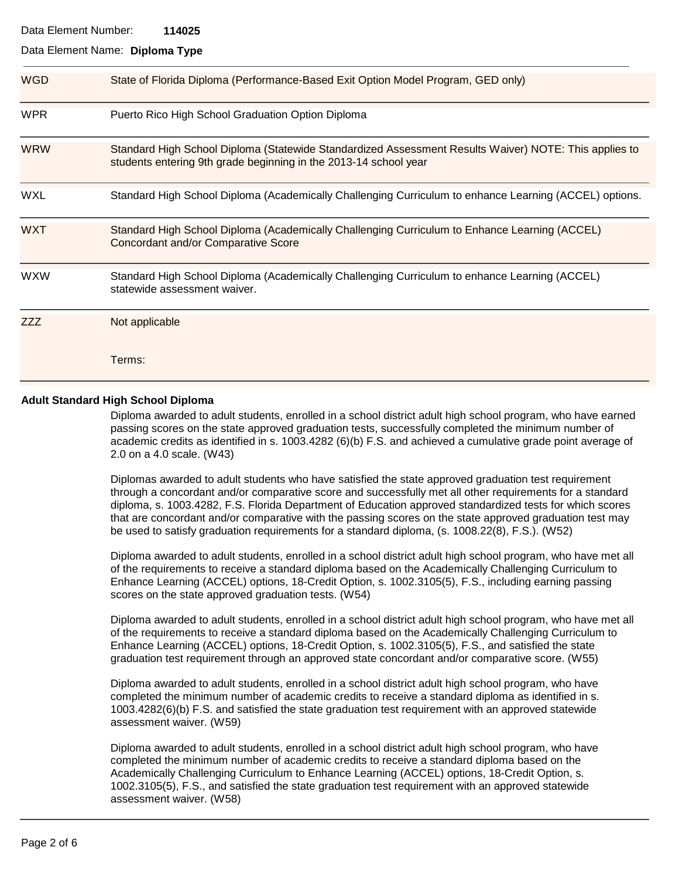## Data Element Number: **114025**

#### Data Element Name: **Diploma Type**

| <b>WGD</b> | State of Florida Diploma (Performance-Based Exit Option Model Program, GED only)                                                                                          |  |
|------------|---------------------------------------------------------------------------------------------------------------------------------------------------------------------------|--|
| <b>WPR</b> | Puerto Rico High School Graduation Option Diploma                                                                                                                         |  |
| <b>WRW</b> | Standard High School Diploma (Statewide Standardized Assessment Results Waiver) NOTE: This applies to<br>students entering 9th grade beginning in the 2013-14 school year |  |
| <b>WXL</b> | Standard High School Diploma (Academically Challenging Curriculum to enhance Learning (ACCEL) options.                                                                    |  |
| <b>WXT</b> | Standard High School Diploma (Academically Challenging Curriculum to Enhance Learning (ACCEL)<br><b>Concordant and/or Comparative Score</b>                               |  |
| <b>WXW</b> | Standard High School Diploma (Academically Challenging Curriculum to enhance Learning (ACCEL)<br>statewide assessment waiver.                                             |  |
| ZZZ        | Not applicable                                                                                                                                                            |  |
|            | Terms:                                                                                                                                                                    |  |

## **Adult Standard High School Diploma**

Diploma awarded to adult students, enrolled in a school district adult high school program, who have earned passing scores on the state approved graduation tests, successfully completed the minimum number of academic credits as identified in s. 1003.4282 (6)(b) F.S. and achieved a cumulative grade point average of 2.0 on a 4.0 scale. (W43)

Diplomas awarded to adult students who have satisfied the state approved graduation test requirement through a concordant and/or comparative score and successfully met all other requirements for a standard diploma, s. 1003.4282, F.S. Florida Department of Education approved standardized tests for which scores that are concordant and/or comparative with the passing scores on the state approved graduation test may be used to satisfy graduation requirements for a standard diploma, (s. 1008.22(8), F.S.). (W52)

Diploma awarded to adult students, enrolled in a school district adult high school program, who have met all of the requirements to receive a standard diploma based on the Academically Challenging Curriculum to Enhance Learning (ACCEL) options, 18-Credit Option, s. 1002.3105(5), F.S., including earning passing scores on the state approved graduation tests. (W54)

Diploma awarded to adult students, enrolled in a school district adult high school program, who have met all of the requirements to receive a standard diploma based on the Academically Challenging Curriculum to Enhance Learning (ACCEL) options, 18-Credit Option, s. 1002.3105(5), F.S., and satisfied the state graduation test requirement through an approved state concordant and/or comparative score. (W55)

Diploma awarded to adult students, enrolled in a school district adult high school program, who have completed the minimum number of academic credits to receive a standard diploma as identified in s. 1003.4282(6)(b) F.S. and satisfied the state graduation test requirement with an approved statewide assessment waiver. (W59)

Diploma awarded to adult students, enrolled in a school district adult high school program, who have completed the minimum number of academic credits to receive a standard diploma based on the Academically Challenging Curriculum to Enhance Learning (ACCEL) options, 18-Credit Option, s. 1002.3105(5), F.S., and satisfied the state graduation test requirement with an approved statewide assessment waiver. (W58)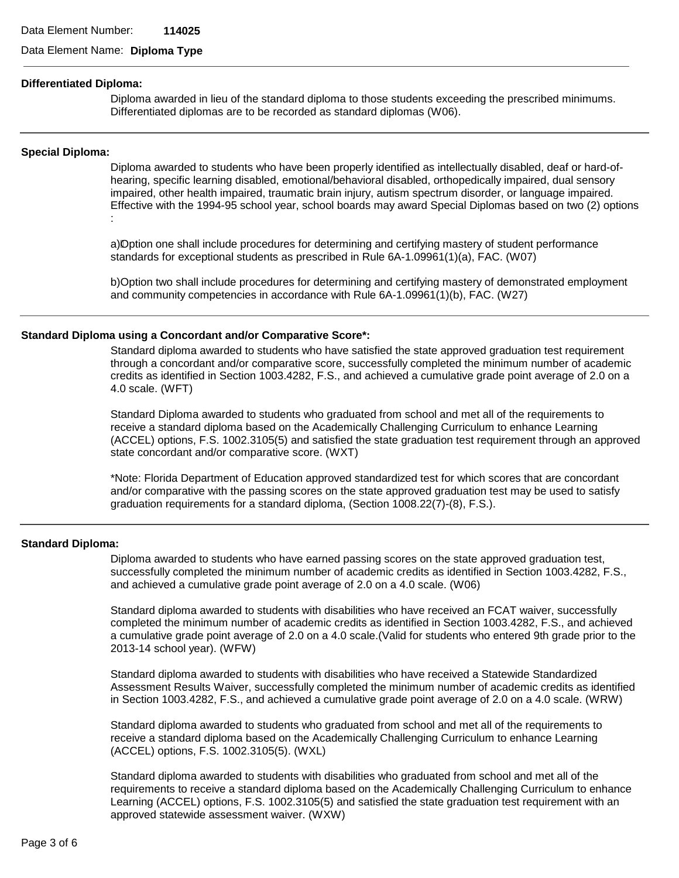Data Element Name: **Diploma Type** 

#### **Differentiated Diploma:**

Diploma awarded in lieu of the standard diploma to those students exceeding the prescribed minimums. Differentiated diplomas are to be recorded as standard diplomas (W06).

#### **Special Diploma:**

Diploma awarded to students who have been properly identified as intellectually disabled, deaf or hard-ofhearing, specific learning disabled, emotional/behavioral disabled, orthopedically impaired, dual sensory impaired, other health impaired, traumatic brain injury, autism spectrum disorder, or language impaired. Effective with the 1994-95 school year, school boards may award Special Diplomas based on two (2) options :

a)O�ption one shall include procedures for determining and certifying mastery of student performance standards for exceptional students as prescribed in Rule 6A-1.09961(1)(a), FAC. (W07)

b)Option two shall include procedures for determining and certifying mastery of demonstrated employment and community competencies in accordance with Rule 6A-1.09961(1)(b), FAC. (W27)

#### **Standard Diploma using a Concordant and/or Comparative Score\*:**

Standard diploma awarded to students who have satisfied the state approved graduation test requirement through a concordant and/or comparative score, successfully completed the minimum number of academic credits as identified in Section 1003.4282, F.S., and achieved a cumulative grade point average of 2.0 on a 4.0 scale. (WFT)

Standard Diploma awarded to students who graduated from school and met all of the requirements to receive a standard diploma based on the Academically Challenging Curriculum to enhance Learning (ACCEL) options, F.S. 1002.3105(5) and satisfied the state graduation test requirement through an approved state concordant and/or comparative score. (WXT)

\*Note: Florida Department of Education approved standardized test for which scores that are concordant and/or comparative with the passing scores on the state approved graduation test may be used to satisfy graduation requirements for a standard diploma, (Section 1008.22(7)-(8), F.S.).

#### **Standard Diploma:**

Diploma awarded to students who have earned passing scores on the state approved graduation test, successfully completed the minimum number of academic credits as identified in Section 1003.4282, F.S., and achieved a cumulative grade point average of 2.0 on a 4.0 scale. (W06)

Standard diploma awarded to students with disabilities who have received an FCAT waiver, successfully completed the minimum number of academic credits as identified in Section 1003.4282, F.S., and achieved a cumulative grade point average of 2.0 on a 4.0 scale.(Valid for students who entered 9th grade prior to the 2013-14 school year). (WFW)

Standard diploma awarded to students with disabilities who have received a Statewide Standardized Assessment Results Waiver, successfully completed the minimum number of academic credits as identified in Section 1003.4282, F.S., and achieved a cumulative grade point average of 2.0 on a 4.0 scale. (WRW)

Standard diploma awarded to students who graduated from school and met all of the requirements to receive a standard diploma based on the Academically Challenging Curriculum to enhance Learning (ACCEL) options, F.S. 1002.3105(5). (WXL)

Standard diploma awarded to students with disabilities who graduated from school and met all of the requirements to receive a standard diploma based on the Academically Challenging Curriculum to enhance Learning (ACCEL) options, F.S. 1002.3105(5) and satisfied the state graduation test requirement with an approved statewide assessment waiver. (WXW)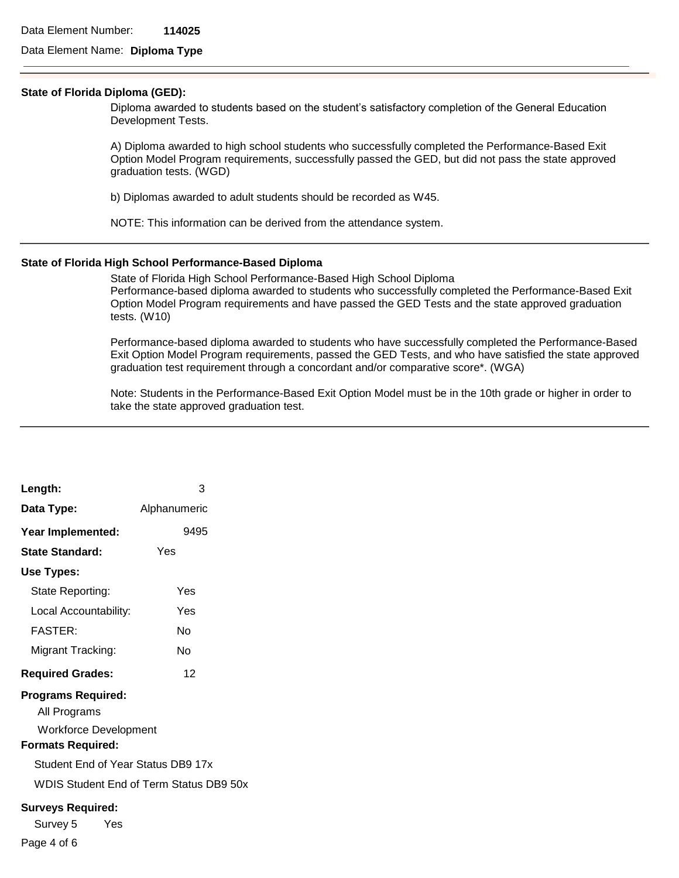## Data Element Name: **Diploma Type**

#### **State of Florida Diploma (GED):**

Diploma awarded to students based on the student's satisfactory completion of the General Education Development Tests.

A) Diploma awarded to high school students who successfully completed the Performance-Based Exit Option Model Program requirements, successfully passed the GED, but did not pass the state approved graduation tests. (WGD)

b) Diplomas awarded to adult students should be recorded as W45.

NOTE: This information can be derived from the attendance system.

#### **State of Florida High School Performance-Based Diploma**

State of Florida High School Performance-Based High School Diploma Performance-based diploma awarded to students who successfully completed the Performance-Based Exit Option Model Program requirements and have passed the GED Tests and the state approved graduation tests. (W10)

Performance-based diploma awarded to students who have successfully completed the Performance-Based Exit Option Model Program requirements, passed the GED Tests, and who have satisfied the state approved graduation test requirement through a concordant and/or comparative score\*. (WGA)

Note: Students in the Performance-Based Exit Option Model must be in the 10th grade or higher in order to take the state approved graduation test.

| Length:                                 | 3            |  |  |  |
|-----------------------------------------|--------------|--|--|--|
| Data Type:                              | Alphanumeric |  |  |  |
| Year Implemented:                       | 9495         |  |  |  |
| <b>State Standard:</b>                  | Yes          |  |  |  |
| Use Types:                              |              |  |  |  |
| State Reporting:                        | Yes          |  |  |  |
| Local Accountability:                   | Yes          |  |  |  |
| <b>FASTER:</b>                          | N٥           |  |  |  |
| Migrant Tracking:                       | N٥           |  |  |  |
| <b>Required Grades:</b>                 | 12           |  |  |  |
| <b>Programs Required:</b>               |              |  |  |  |
| All Programs                            |              |  |  |  |
| <b>Workforce Development</b>            |              |  |  |  |
| <b>Formats Required:</b>                |              |  |  |  |
| Student End of Year Status DB9 17x      |              |  |  |  |
| WDIS Student End of Term Status DB9 50x |              |  |  |  |
| <b>Surveys Required:</b>                |              |  |  |  |
| Survey 5<br>Yes                         |              |  |  |  |
| Page 4 of 6                             |              |  |  |  |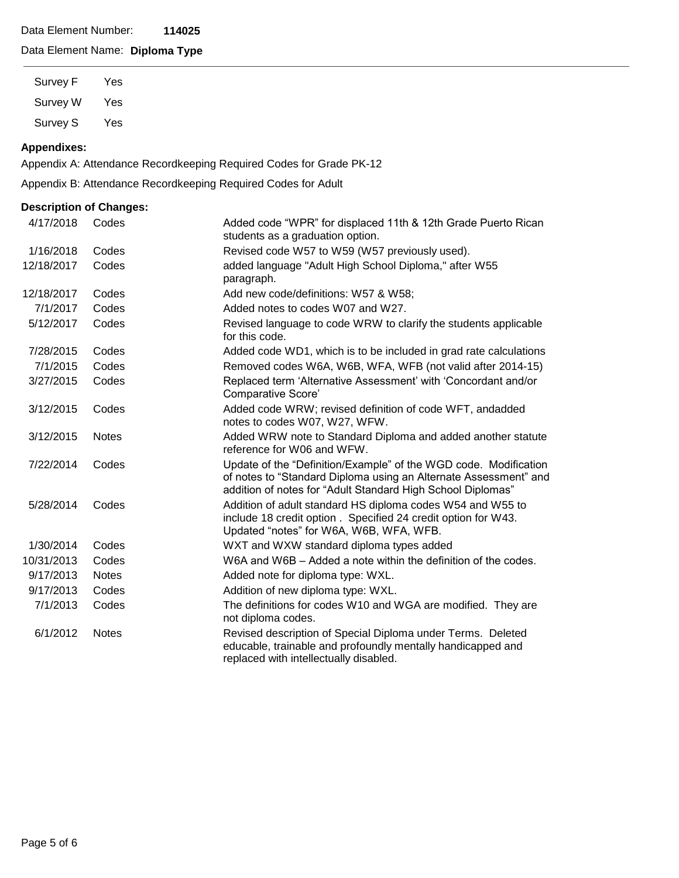## Data Element Number: **114025**

# Data Element Name: **Diploma Type**

Survey F Yes Survey W Yes Survey S Yes

## **Appendixes:**

Appendix A: Attendance Recordkeeping Required Codes for Grade PK-12

Appendix B: Attendance Recordkeeping Required Codes for Adult

## **Description of Changes:**

| 4/17/2018  | Codes        | Added code "WPR" for displaced 11th & 12th Grade Puerto Rican<br>students as a graduation option.                                                                                                   |
|------------|--------------|-----------------------------------------------------------------------------------------------------------------------------------------------------------------------------------------------------|
| 1/16/2018  | Codes        | Revised code W57 to W59 (W57 previously used).                                                                                                                                                      |
| 12/18/2017 | Codes        | added language "Adult High School Diploma," after W55<br>paragraph.                                                                                                                                 |
| 12/18/2017 | Codes        | Add new code/definitions: W57 & W58;                                                                                                                                                                |
| 7/1/2017   | Codes        | Added notes to codes W07 and W27.                                                                                                                                                                   |
| 5/12/2017  | Codes        | Revised language to code WRW to clarify the students applicable<br>for this code.                                                                                                                   |
| 7/28/2015  | Codes        | Added code WD1, which is to be included in grad rate calculations                                                                                                                                   |
| 7/1/2015   | Codes        | Removed codes W6A, W6B, WFA, WFB (not valid after 2014-15)                                                                                                                                          |
| 3/27/2015  | Codes        | Replaced term 'Alternative Assessment' with 'Concordant and/or<br>Comparative Score'                                                                                                                |
| 3/12/2015  | Codes        | Added code WRW; revised definition of code WFT, andadded<br>notes to codes W07, W27, WFW.                                                                                                           |
| 3/12/2015  | <b>Notes</b> | Added WRW note to Standard Diploma and added another statute<br>reference for W06 and WFW.                                                                                                          |
| 7/22/2014  | Codes        | Update of the "Definition/Example" of the WGD code. Modification<br>of notes to "Standard Diploma using an Alternate Assessment" and<br>addition of notes for "Adult Standard High School Diplomas" |
| 5/28/2014  | Codes        | Addition of adult standard HS diploma codes W54 and W55 to<br>include 18 credit option. Specified 24 credit option for W43.<br>Updated "notes" for W6A, W6B, WFA, WFB.                              |
| 1/30/2014  | Codes        | WXT and WXW standard diploma types added                                                                                                                                                            |
| 10/31/2013 | Codes        | W6A and W6B – Added a note within the definition of the codes.                                                                                                                                      |
| 9/17/2013  | <b>Notes</b> | Added note for diploma type: WXL.                                                                                                                                                                   |
| 9/17/2013  | Codes        | Addition of new diploma type: WXL.                                                                                                                                                                  |
| 7/1/2013   | Codes        | The definitions for codes W10 and WGA are modified. They are<br>not diploma codes.                                                                                                                  |
| 6/1/2012   | <b>Notes</b> | Revised description of Special Diploma under Terms. Deleted<br>educable, trainable and profoundly mentally handicapped and<br>replaced with intellectually disabled.                                |